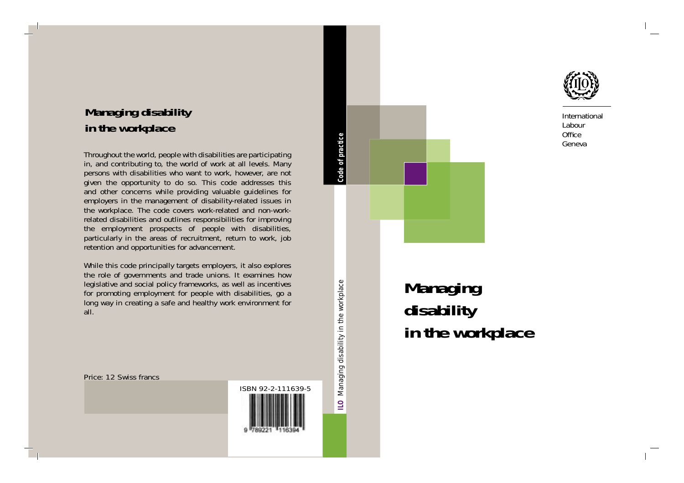

International Labour Office Geneva

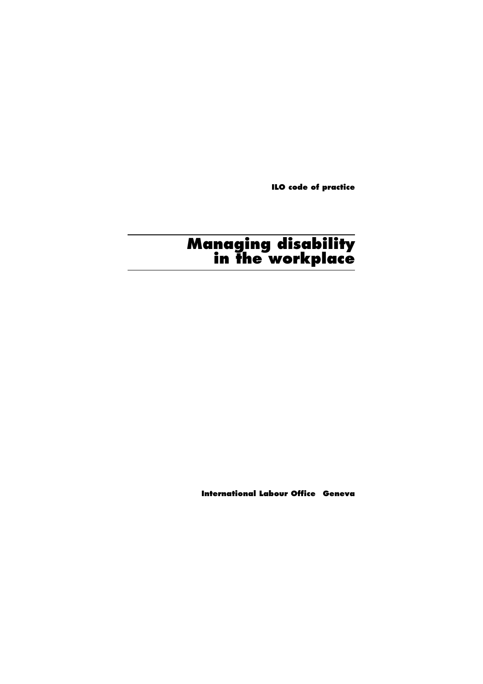**ILO code of practice**

# **Managing disability in the workplace**

**International Labour Office Geneva**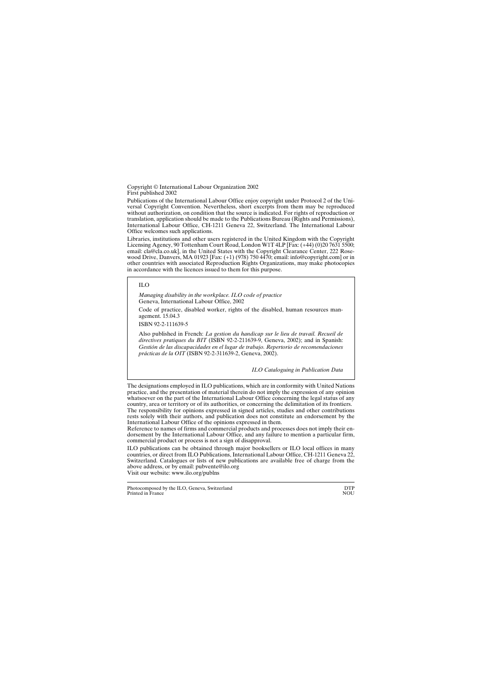Copyright © International Labour Organization 2002 First published 2002

Publications of the International Labour Office enjoy copyright under Protocol 2 of the Universal Copyright Convention. Nevertheless, short excerpts from them may be reproduced without authorization, on condition that the source is indicated. For rights of reproduction or translation, application should be made to the Publications Bureau (Rights and Permissions), International Labour Office, CH-1211 Geneva 22, Switzerland. The International Labour Office welcomes such applications.

Libraries, institutions and other users registered in the United Kingdom with the Copyright Licensing Agency, 90 Tottenham Court Road, London W1T 4LP [Fax: (+44) (0)20 7631 5500;<br>email: cla@cla.co.uk], in the United States with the Copyright Clearance Center, 222 Rose-<br>wood Drive, Danvers, MA 01923 [Fax: (+1) (97 other countries with associated Reproduction Rights Organizations, may make photocopies in accordance with the licences issued to them for this purpose.

 $\overline{11}$ O

*Managing disability in the workplace. ILO code of practice* Geneva, International Labour Office, 2002

Code of practice, disabled worker, rights of the disabled, human resources management. 15.04.3

ISBN 92-2-111639-5

Also published in French: *La gestion du handicap sur le lieu de travail. Recueil de directives pratiques du BIT* (ISBN 92-2-211639-9, Geneva, 2002); and in Spanish: *Gestión de las discapacidades en el lugar de trabajo. Repertorio de recomendaciones prácticas de la OIT* (ISBN 92-2-311639-2, Geneva, 2002).

*ILO Cataloguing in Publication Data*

The designations employed in ILO publications, which are in conformity with United Nations practice, and the presentation of material therein do not imply the expression of any opinion whatsoever on the part of the International Labour Office concerning the legal status of any country, area or territory or of its authorities, or concerning the delimitation of its frontiers. The responsibility for opinions expressed in signed articles, studies and other contributions rests solely with their authors, and publication does not constitute an endorsement by the<br>International Labour Office of the opinions expressed in them.<br>Reference to names of firms and commercial products and processes do

dorsement by the International Labour Office, and any failure to mention a particular firm, commercial product or process is not a sign of disapproval.

ILO publications can be obtained through major booksellers or ILO local offices in many countries, or direct from ILO Publications, International Labour Office, CH-1211 Geneva 22, Switzerland. Catalogues or lists of new publications are available free of charge from the above address, or by email: pubvente@ilo.org Visit our website: www.ilo.org/publns

Photocomposed by the ILO, Geneva, Switzerland<br>Printed in France NOU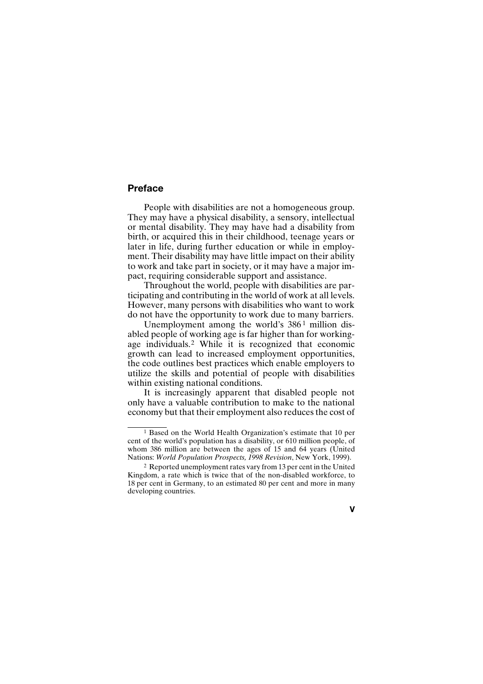# **Preface**

People with disabilities are not a homogeneous group. They may have a physical disability, a sensory, intellectual or mental disability. They may have had a disability from birth, or acquired this in their childhood, teenage years or later in life, during further education or while in employment. Their disability may have little impact on their ability to work and take part in society, or it may have a major impact, requiring considerable support and assistance.

Throughout the world, people with disabilities are participating and contributing in the world of work at all levels. However, many persons with disabilities who want to work do not have the opportunity to work due to many barriers.

Unemployment among the world's 386<sup>1</sup> million disabled people of working age is far higher than for workingage individuals.2 While it is recognized that economic growth can lead to increased employment opportunities, the code outlines best practices which enable employers to utilize the skills and potential of people with disabilities within existing national conditions.

It is increasingly apparent that disabled people not only have a valuable contribution to make to the national economy but that their employment also reduces the cost of

<sup>2</sup> Reported unemployment rates vary from 13 per cent in the United Kingdom, a rate which is twice that of the non-disabled workforce, to 18 per cent in Germany, to an estimated 80 per cent and more in many developing countries.



<sup>1</sup> Based on the World Health Organization's estimate that 10 per cent of the world's population has a disability, or 610 million people, of whom 386 million are between the ages of 15 and 64 years (United Nations: *World Population Prospects, 1998 Revision*, New York, 1999).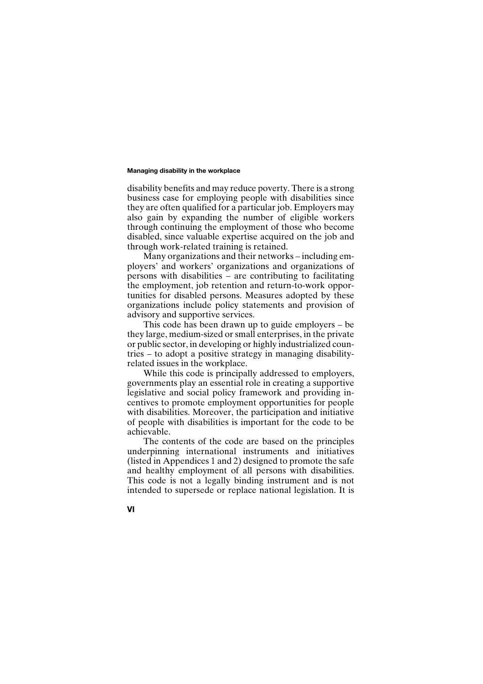disability benefits and may reduce poverty. There is a strong business case for employing people with disabilities since they are often qualified for a particular job. Employers may also gain by expanding the number of eligible workers through continuing the employment of those who become disabled, since valuable expertise acquired on the job and through work-related training is retained.

Many organizations and their networks – including employers' and workers' organizations and organizations of persons with disabilities – are contributing to facilitating the employment, job retention and return-to-work opportunities for disabled persons. Measures adopted by these organizations include policy statements and provision of advisory and supportive services.

This code has been drawn up to guide employers – be they large, medium-sized or small enterprises, in the private or public sector, in developing or highly industrialized countries – to adopt a positive strategy in managing disabilityrelated issues in the workplace.

While this code is principally addressed to employers, governments play an essential role in creating a supportive legislative and social policy framework and providing incentives to promote employment opportunities for people with disabilities. Moreover, the participation and initiative of people with disabilities is important for the code to be achievable.

The contents of the code are based on the principles underpinning international instruments and initiatives (listed in Appendices 1 and 2) designed to promote the safe and healthy employment of all persons with disabilities. This code is not a legally binding instrument and is not intended to supersede or replace national legislation. It is

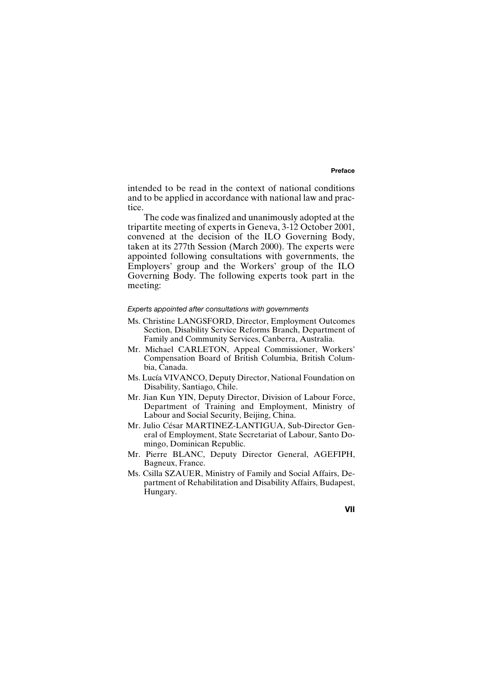### **Preface**

intended to be read in the context of national conditions and to be applied in accordance with national law and practice.

The code was finalized and unanimously adopted at the tripartite meeting of experts in Geneva, 3-12 October 2001, convened at the decision of the ILO Governing Body, taken at its 277th Session (March 2000). The experts were appointed following consultations with governments, the Employers' group and the Workers' group of the ILO Governing Body. The following experts took part in the meeting:

### *Experts appointed after consultations with governments*

- Ms. Christine LANGSFORD, Director, Employment Outcomes Section, Disability Service Reforms Branch, Department of Family and Community Services, Canberra, Australia.
- Mr. Michael CARLETON, Appeal Commissioner, Workers' Compensation Board of British Columbia, British Columbia, Canada.
- Ms. Lucía VIVANCO, Deputy Director, National Foundation on Disability, Santiago, Chile.
- Mr. Jian Kun YIN, Deputy Director, Division of Labour Force, Department of Training and Employment, Ministry of Labour and Social Security, Beijing, China.
- Mr. Julio César MARTINEZ-LANTIGUA, Sub-Director General of Employment, State Secretariat of Labour, Santo Domingo, Dominican Republic.
- Mr. Pierre BLANC, Deputy Director General, AGEFIPH, Bagneux, France.
- Ms. Csilla SZAUER, Ministry of Family and Social Affairs, Department of Rehabilitation and Disability Affairs, Budapest, Hungary.

### **VII**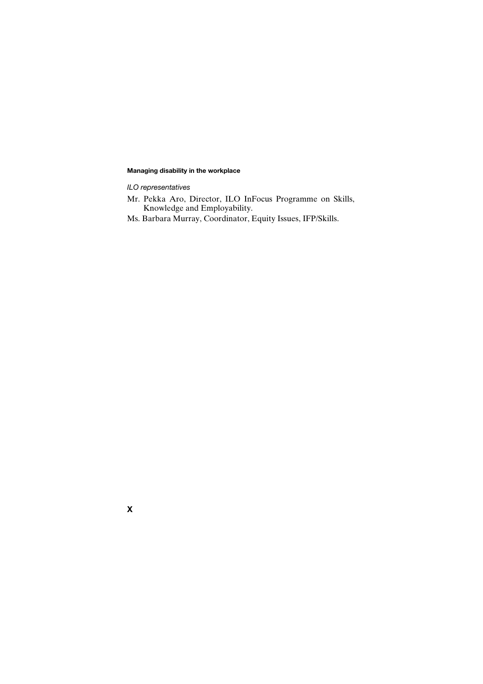*ILO representatives*

- Mr. Pekka Aro, Director, ILO InFocus Programme on Skills, Knowledge and Employability.
- Ms. Barbara Murray, Coordinator, Equity Issues, IFP/Skills.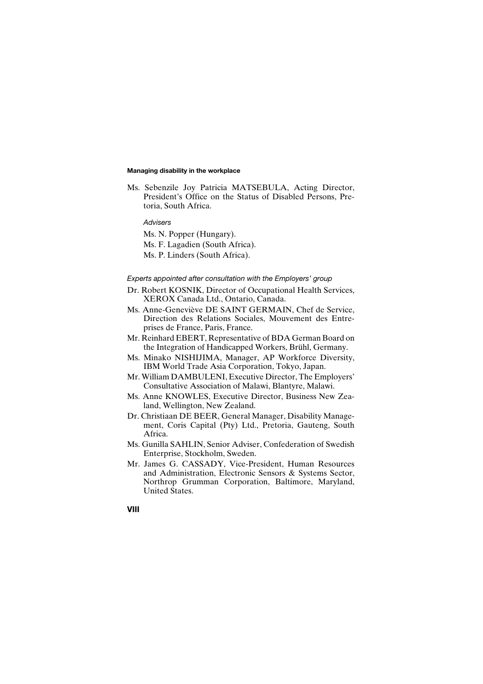Ms. Sebenzile Joy Patricia MATSEBULA, Acting Director, President's Office on the Status of Disabled Persons, Pretoria, South Africa.

# *Advisers*

Ms. N. Popper (Hungary). Ms. F. Lagadien (South Africa). Ms. P. Linders (South Africa).

### *Experts appointed after consultation with the Employers' group*

- Dr. Robert KOSNIK, Director of Occupational Health Services, XEROX Canada Ltd., Ontario, Canada.
- Ms. Anne-Geneviève DE SAINT GERMAIN, Chef de Service, Direction des Relations Sociales, Mouvement des Entreprises de France, Paris, France.
- Mr. Reinhard EBERT, Representative of BDA German Board on the Integration of Handicapped Workers, Brühl, Germany.
- Ms. Minako NISHIJIMA, Manager, AP Workforce Diversity, IBM World Trade Asia Corporation, Tokyo, Japan.
- Mr. William DAMBULENI, Executive Director, The Employers' Consultative Association of Malawi, Blantyre, Malawi.
- Ms. Anne KNOWLES, Executive Director, Business New Zealand, Wellington, New Zealand.
- Dr. Christiaan DE BEER, General Manager, Disability Management, Coris Capital (Pty) Ltd., Pretoria, Gauteng, South Africa.
- Ms. Gunilla SAHLIN, Senior Adviser, Confederation of Swedish Enterprise, Stockholm, Sweden.
- Mr. James G. CASSADY, Vice-President, Human Resources and Administration, Electronic Sensors & Systems Sector, Northrop Grumman Corporation, Baltimore, Maryland, United States.

### **VIII**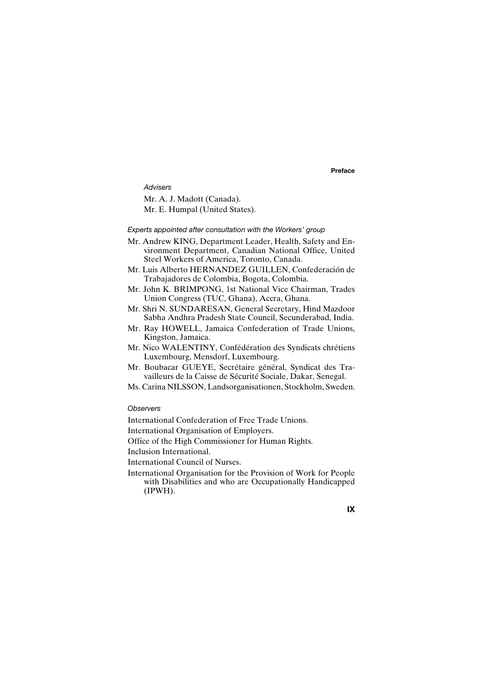**Preface**

*Advisers* Mr. A. J. Madott (Canada). Mr. E. Humpal (United States).

# *Experts appointed after consultation with the Workers' group*

- Mr. Andrew KING, Department Leader, Health, Safety and Environment Department, Canadian National Office, United Steel Workers of America, Toronto, Canada.
- Mr. Luis Alberto HERNANDEZ GUILLEN, Confederación de Trabajadores de Colombia, Bogota, Colombia.
- Mr. John K. BRIMPONG, 1st National Vice Chairman, Trades Union Congress (TUC, Ghana), Accra, Ghana.
- Mr. Shri N. SUNDARESAN, General Secretary, Hind Mazdoor Sabha Andhra Pradesh State Council, Secunderabad, India.
- Mr. Ray HOWELL, Jamaica Confederation of Trade Unions, Kingston, Jamaica.
- Mr. Nico WALENTINY, Confédération des Syndicats chrétiens Luxembourg, Mensdorf, Luxembourg.
- Mr. Boubacar GUEYE, Secrétaire général, Syndicat des Travailleurs de la Caisse de Sécurité Sociale, Dakar, Senegal.
- Ms. Carina NILSSON, Landsorganisationen, Stockholm, Sweden.

# *Observers*

International Confederation of Free Trade Unions.

International Organisation of Employers.

Office of the High Commissioner for Human Rights.

Inclusion International.

International Council of Nurses.

International Organisation for the Provision of Work for People with Disabilities and who are Occupationally Handicapped (IPWH).

# **IX**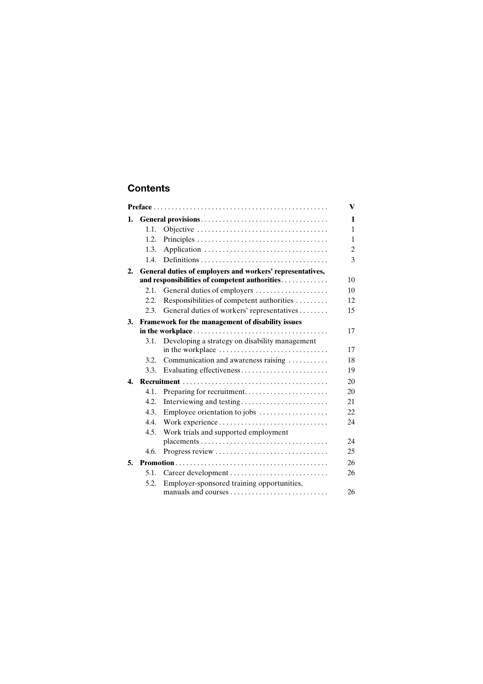# **Contents**

| 1. |      |                                                           | 1  |  |
|----|------|-----------------------------------------------------------|----|--|
|    | 1.1. |                                                           | 1  |  |
|    | 1.2. |                                                           | 1  |  |
|    | 1.3. |                                                           | 2  |  |
|    | 1.4. |                                                           | 3  |  |
| 2. |      | General duties of employers and workers' representatives, |    |  |
|    |      | and responsibilities of competent authorities             | 10 |  |
|    | 2.1. | General duties of employers                               | 10 |  |
|    | 2.2. | Responsibilities of competent authorities                 | 12 |  |
|    | 2.3. | General duties of workers' representatives                | 15 |  |
| 3. |      | Framework for the management of disability issues         |    |  |
|    |      |                                                           | 17 |  |
|    | 3.1. | Developing a strategy on disability management            | 17 |  |
|    | 3.2. | Communication and awareness raising                       | 18 |  |
|    | 3.3. | Evaluating effectiveness                                  | 19 |  |
| 4. |      |                                                           | 20 |  |
|    | 4.1. | Preparing for recruitment                                 | 20 |  |
|    | 4.2. | Interviewing and testing                                  | 21 |  |
|    | 4.3. | Employee orientation to jobs                              | 22 |  |
|    | 4.4. |                                                           | 24 |  |
|    | 4.5. | Work trials and supported employment                      |    |  |
|    |      |                                                           | 24 |  |
|    | 4.6. | Progress review                                           | 25 |  |
| 5. |      |                                                           | 26 |  |
|    | 5.1. | Career development                                        | 26 |  |
|    | 5.2. | Employer-sponsored training opportunities,                | 26 |  |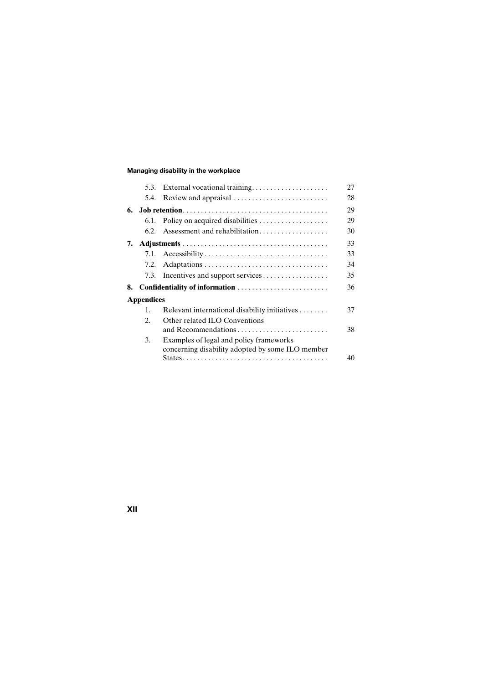|                   |                |                                                  | 27 |  |
|-------------------|----------------|--------------------------------------------------|----|--|
|                   | 5.4.           | Review and appraisal                             | 28 |  |
| 6.                |                |                                                  | 29 |  |
|                   | 6.1.           | Policy on acquired disabilities                  | 29 |  |
|                   | 6.2.           | Assessment and rehabilitation                    | 30 |  |
| 7.                |                |                                                  | 33 |  |
|                   |                |                                                  | 33 |  |
|                   | 7.2.           |                                                  | 34 |  |
|                   |                | 7.3. Incentives and support services             | 35 |  |
| 8.                |                | Confidentiality of information                   | 36 |  |
| <b>Appendices</b> |                |                                                  |    |  |
|                   | $\mathbf{1}$ . | Relevant international disability initiatives    | 37 |  |
|                   | 2.             | Other related ILO Conventions                    |    |  |
|                   |                |                                                  | 38 |  |
|                   | 3.             | Examples of legal and policy frameworks          |    |  |
|                   |                | concerning disability adopted by some ILO member |    |  |
|                   |                |                                                  | 40 |  |

**XII**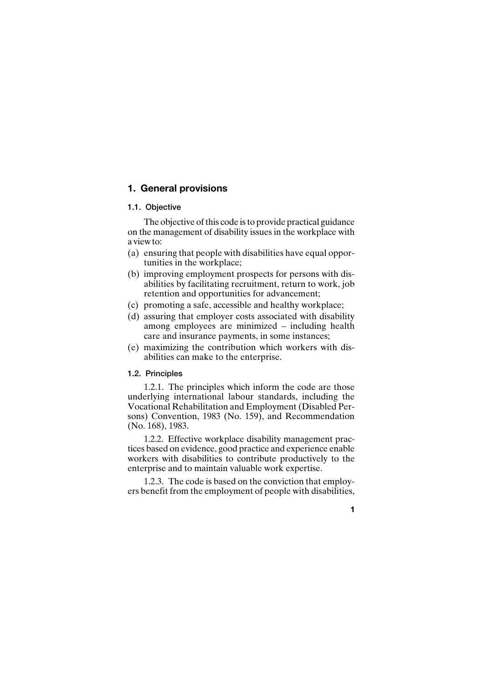# **1. General provisions**

# **1.1. Objective**

The objective of this code is to provide practical guidance on the management of disability issues in the workplace with a view to:

- (a) ensuring that people with disabilities have equal opportunities in the workplace;
- (b) improving employment prospects for persons with disabilities by facilitating recruitment, return to work, job retention and opportunities for advancement;
- (c) promoting a safe, accessible and healthy workplace;
- (d) assuring that employer costs associated with disability among employees are minimized – including health care and insurance payments, in some instances;
- (e) maximizing the contribution which workers with disabilities can make to the enterprise.

# **1.2. Principles**

1.2.1. The principles which inform the code are those underlying international labour standards, including the Vocational Rehabilitation and Employment (Disabled Persons) Convention, 1983 (No. 159), and Recommendation (No. 168), 1983.

1.2.2. Effective workplace disability management practices based on evidence, good practice and experience enable workers with disabilities to contribute productively to the enterprise and to maintain valuable work expertise.

1.2.3. The code is based on the conviction that employers benefit from the employment of people with disabilities,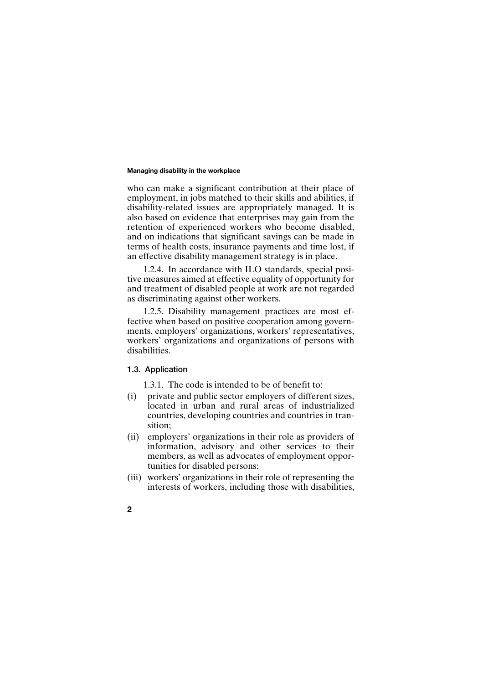who can make a significant contribution at their place of employment, in jobs matched to their skills and abilities, if disability-related issues are appropriately managed. It is also based on evidence that enterprises may gain from the retention of experienced workers who become disabled, and on indications that significant savings can be made in terms of health costs, insurance payments and time lost, if an effective disability management strategy is in place.

1.2.4. In accordance with ILO standards, special positive measures aimed at effective equality of opportunity for and treatment of disabled people at work are not regarded as discriminating against other workers.

1.2.5. Disability management practices are most effective when based on positive cooperation among governments, employers' organizations, workers' representatives, workers' organizations and organizations of persons with disabilities.

# **1.3. Application**

1.3.1. The code is intended to be of benefit to:

- (i) private and public sector employers of different sizes, located in urban and rural areas of industrialized countries, developing countries and countries in transition;
- (ii) employers' organizations in their role as providers of information, advisory and other services to their members, as well as advocates of employment opportunities for disabled persons;
- (iii) workers' organizations in their role of representing the interests of workers, including those with disabilities,
- **2**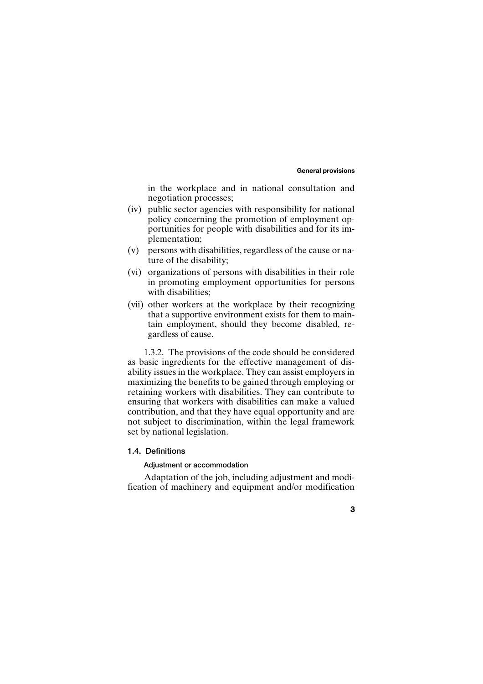### **General provisions**

in the workplace and in national consultation and negotiation processes;

- (iv) public sector agencies with responsibility for national policy concerning the promotion of employment opportunities for people with disabilities and for its implementation;
- (v) persons with disabilities, regardless of the cause or nature of the disability;
- (vi) organizations of persons with disabilities in their role in promoting employment opportunities for persons with disabilities;
- (vii) other workers at the workplace by their recognizing that a supportive environment exists for them to maintain employment, should they become disabled, regardless of cause.

1.3.2. The provisions of the code should be considered as basic ingredients for the effective management of disability issues in the workplace. They can assist employers in maximizing the benefits to be gained through employing or retaining workers with disabilities. They can contribute to ensuring that workers with disabilities can make a valued contribution, and that they have equal opportunity and are not subject to discrimination, within the legal framework set by national legislation.

# **1.4. Definitions**

# **Adjustment or accommodation**

Adaptation of the job, including adjustment and modification of machinery and equipment and/or modification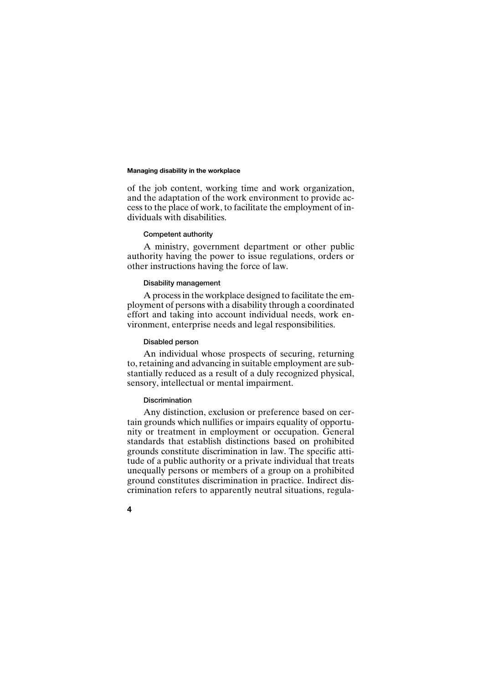of the job content, working time and work organization, and the adaptation of the work environment to provide access to the place of work, to facilitate the employment of individuals with disabilities.

### **Competent authority**

A ministry, government department or other public authority having the power to issue regulations, orders or other instructions having the force of law.

# **Disability management**

A process in the workplace designed to facilitate the employment of persons with a disability through a coordinated effort and taking into account individual needs, work environment, enterprise needs and legal responsibilities.

### **Disabled person**

An individual whose prospects of securing, returning to, retaining and advancing in suitable employment are substantially reduced as a result of a duly recognized physical, sensory, intellectual or mental impairment.

### **Discrimination**

Any distinction, exclusion or preference based on certain grounds which nullifies or impairs equality of opportunity or treatment in employment or occupation. General standards that establish distinctions based on prohibited grounds constitute discrimination in law. The specific attitude of a public authority or a private individual that treats unequally persons or members of a group on a prohibited ground constitutes discrimination in practice. Indirect discrimination refers to apparently neutral situations, regula-

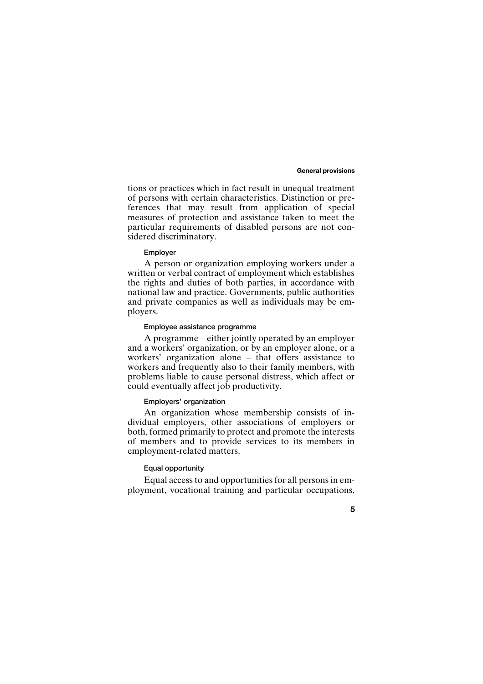### **General provisions**

tions or practices which in fact result in unequal treatment of persons with certain characteristics. Distinction or preferences that may result from application of special measures of protection and assistance taken to meet the particular requirements of disabled persons are not considered discriminatory.

### **Employer**

A person or organization employing workers under a written or verbal contract of employment which establishes the rights and duties of both parties, in accordance with national law and practice. Governments, public authorities and private companies as well as individuals may be employers.

### **Employee assistance programme**

A programme – either jointly operated by an employer and a workers' organization, or by an employer alone, or a workers' organization alone – that offers assistance to workers and frequently also to their family members, with problems liable to cause personal distress, which affect or could eventually affect job productivity.

### **Employers' organization**

An organization whose membership consists of individual employers, other associations of employers or both, formed primarily to protect and promote the interests of members and to provide services to its members in employment-related matters.

# **Equal opportunity**

Equal access to and opportunities for all persons in employment, vocational training and particular occupations,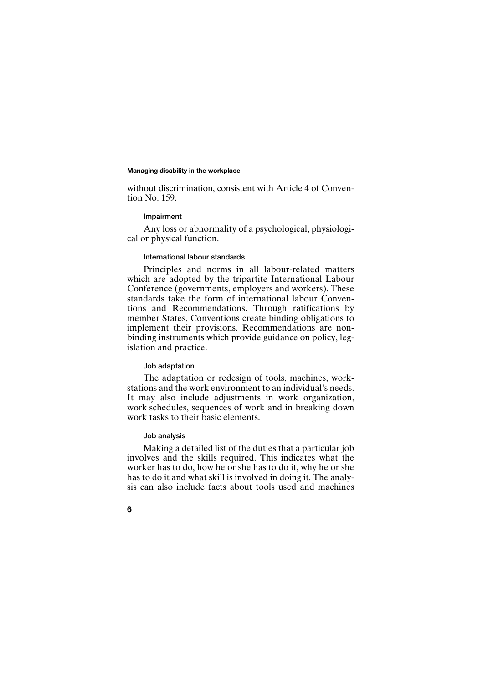without discrimination, consistent with Article 4 of Convention No. 159.

### **Impairment**

Any loss or abnormality of a psychological, physiological or physical function.

### **International labour standards**

Principles and norms in all labour-related matters which are adopted by the tripartite International Labour Conference (governments, employers and workers). These standards take the form of international labour Conventions and Recommendations. Through ratifications by member States, Conventions create binding obligations to implement their provisions. Recommendations are nonbinding instruments which provide guidance on policy, legislation and practice.

### **Job adaptation**

The adaptation or redesign of tools, machines, workstations and the work environment to an individual's needs. It may also include adjustments in work organization, work schedules, sequences of work and in breaking down work tasks to their basic elements.

### **Job analysis**

Making a detailed list of the duties that a particular job involves and the skills required. This indicates what the worker has to do, how he or she has to do it, why he or she has to do it and what skill is involved in doing it. The analysis can also include facts about tools used and machines

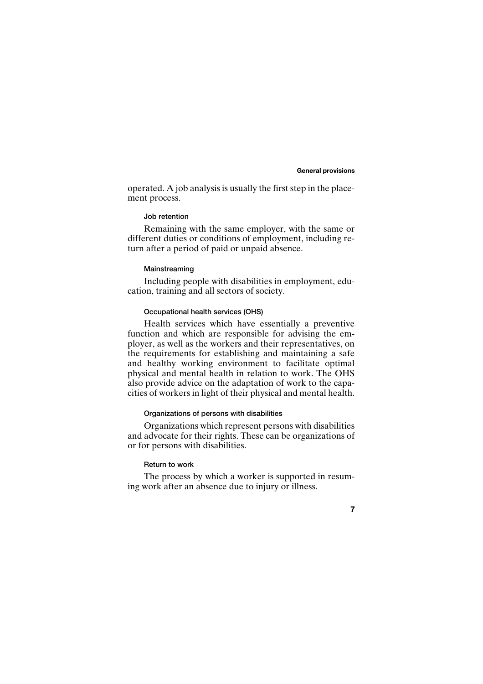### **General provisions**

operated. A job analysis is usually the first step in the placement process.

# **Job retention**

Remaining with the same employer, with the same or different duties or conditions of employment, including return after a period of paid or unpaid absence.

# **Mainstreaming**

Including people with disabilities in employment, education, training and all sectors of society.

# **Occupational health services (OHS)**

Health services which have essentially a preventive function and which are responsible for advising the employer, as well as the workers and their representatives, on the requirements for establishing and maintaining a safe and healthy working environment to facilitate optimal physical and mental health in relation to work. The OHS also provide advice on the adaptation of work to the capacities of workers in light of their physical and mental health.

# **Organizations of persons with disabilities**

Organizations which represent persons with disabilities and advocate for their rights. These can be organizations of or for persons with disabilities.

# **Return to work**

The process by which a worker is supported in resuming work after an absence due to injury or illness.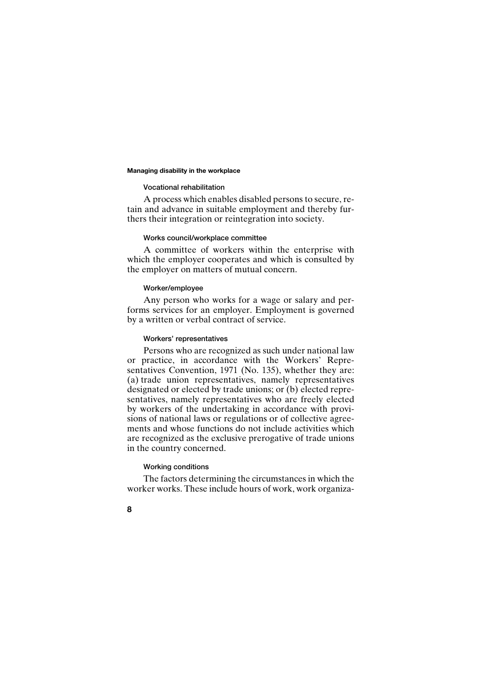### **Vocational rehabilitation**

A process which enables disabled persons to secure, retain and advance in suitable employment and thereby furthers their integration or reintegration into society.

# **Works council/workplace committee**

A committee of workers within the enterprise with which the employer cooperates and which is consulted by the employer on matters of mutual concern.

# **Worker/employee**

Any person who works for a wage or salary and performs services for an employer. Employment is governed by a written or verbal contract of service.

### **Workers' representatives**

Persons who are recognized as such under national law or practice, in accordance with the Workers' Representatives Convention, 1971 (No. 135), whether they are: (a) trade union representatives, namely representatives designated or elected by trade unions; or (b) elected representatives, namely representatives who are freely elected by workers of the undertaking in accordance with provisions of national laws or regulations or of collective agreements and whose functions do not include activities which are recognized as the exclusive prerogative of trade unions in the country concerned.

# **Working conditions**

The factors determining the circumstances in which the worker works. These include hours of work, work organiza-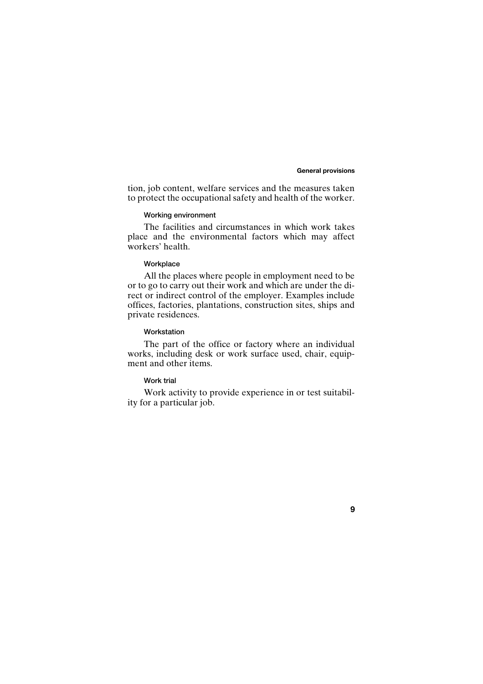### **General provisions**

tion, job content, welfare services and the measures taken to protect the occupational safety and health of the worker.

# **Working environment**

The facilities and circumstances in which work takes place and the environmental factors which may affect workers' health.

# **Workplace**

All the places where people in employment need to be or to go to carry out their work and which are under the direct or indirect control of the employer. Examples include offices, factories, plantations, construction sites, ships and private residences.

### **Workstation**

The part of the office or factory where an individual works, including desk or work surface used, chair, equipment and other items.

# **Work trial**

Work activity to provide experience in or test suitability for a particular job.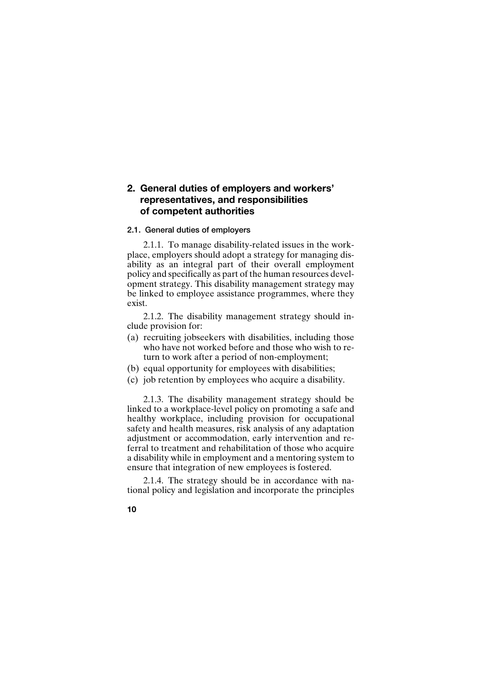# **2. General duties of employers and workers' representatives, and responsibilities of competent authorities**

### **2.1. General duties of employers**

2.1.1. To manage disability-related issues in the workplace, employers should adopt a strategy for managing disability as an integral part of their overall employment policy and specifically as part of the human resources development strategy. This disability management strategy may be linked to employee assistance programmes, where they exist.

2.1.2. The disability management strategy should include provision for:

- (a) recruiting jobseekers with disabilities, including those who have not worked before and those who wish to return to work after a period of non-employment;
- (b) equal opportunity for employees with disabilities;
- (c) job retention by employees who acquire a disability.

2.1.3. The disability management strategy should be linked to a workplace-level policy on promoting a safe and healthy workplace, including provision for occupational safety and health measures, risk analysis of any adaptation adjustment or accommodation, early intervention and referral to treatment and rehabilitation of those who acquire a disability while in employment and a mentoring system to ensure that integration of new employees is fostered.

2.1.4. The strategy should be in accordance with national policy and legislation and incorporate the principles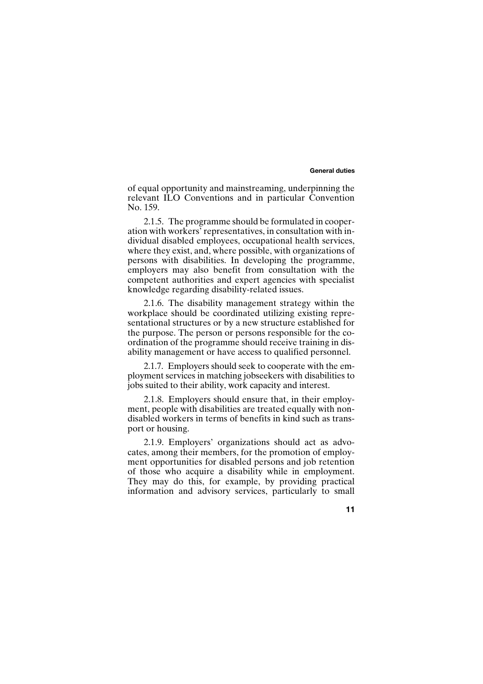### **General duties**

of equal opportunity and mainstreaming, underpinning the relevant ILO Conventions and in particular Convention No. 159.

2.1.5. The programme should be formulated in cooperation with workers' representatives, in consultation with individual disabled employees, occupational health services, where they exist, and, where possible, with organizations of persons with disabilities. In developing the programme, employers may also benefit from consultation with the competent authorities and expert agencies with specialist knowledge regarding disability-related issues.

2.1.6. The disability management strategy within the workplace should be coordinated utilizing existing representational structures or by a new structure established for the purpose. The person or persons responsible for the coordination of the programme should receive training in disability management or have access to qualified personnel.

2.1.7. Employers should seek to cooperate with the employment services in matching jobseekers with disabilities to jobs suited to their ability, work capacity and interest.

2.1.8. Employers should ensure that, in their employment, people with disabilities are treated equally with nondisabled workers in terms of benefits in kind such as transport or housing.

2.1.9. Employers' organizations should act as advocates, among their members, for the promotion of employment opportunities for disabled persons and job retention of those who acquire a disability while in employment. They may do this, for example, by providing practical information and advisory services, particularly to small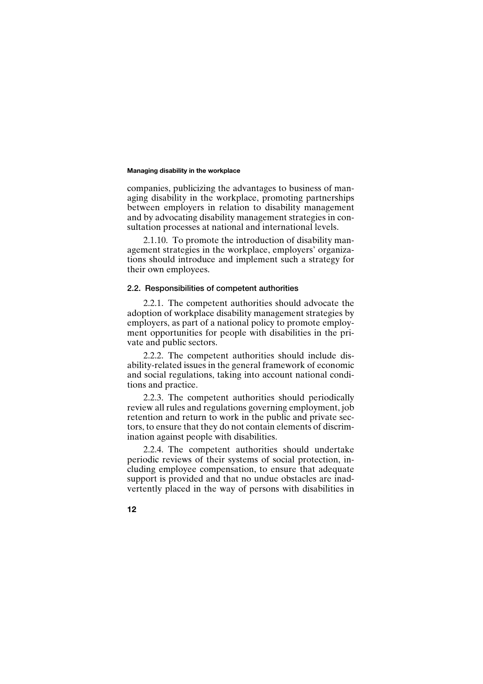companies, publicizing the advantages to business of managing disability in the workplace, promoting partnerships between employers in relation to disability management and by advocating disability management strategies in consultation processes at national and international levels.

2.1.10. To promote the introduction of disability management strategies in the workplace, employers' organizations should introduce and implement such a strategy for their own employees.

# **2.2. Responsibilities of competent authorities**

2.2.1. The competent authorities should advocate the adoption of workplace disability management strategies by employers, as part of a national policy to promote employment opportunities for people with disabilities in the private and public sectors.

2.2.2. The competent authorities should include disability-related issues in the general framework of economic and social regulations, taking into account national conditions and practice.

2.2.3. The competent authorities should periodically review all rules and regulations governing employment, job retention and return to work in the public and private sectors, to ensure that they do not contain elements of discrimination against people with disabilities.

2.2.4. The competent authorities should undertake periodic reviews of their systems of social protection, including employee compensation, to ensure that adequate support is provided and that no undue obstacles are inadvertently placed in the way of persons with disabilities in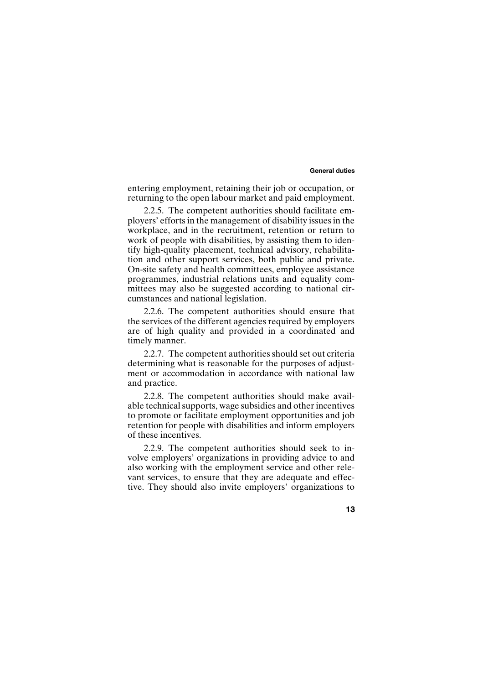### **General duties**

entering employment, retaining their job or occupation, or returning to the open labour market and paid employment.

2.2.5. The competent authorities should facilitate employers' efforts in the management of disability issues in the workplace, and in the recruitment, retention or return to work of people with disabilities, by assisting them to identify high-quality placement, technical advisory, rehabilitation and other support services, both public and private. On-site safety and health committees, employee assistance programmes, industrial relations units and equality committees may also be suggested according to national circumstances and national legislation.

2.2.6. The competent authorities should ensure that the services of the different agencies required by employers are of high quality and provided in a coordinated and timely manner.

2.2.7. The competent authorities should set out criteria determining what is reasonable for the purposes of adjustment or accommodation in accordance with national law and practice.

2.2.8. The competent authorities should make available technical supports, wage subsidies and other incentives to promote or facilitate employment opportunities and job retention for people with disabilities and inform employers of these incentives.

2.2.9. The competent authorities should seek to involve employers' organizations in providing advice to and also working with the employment service and other relevant services, to ensure that they are adequate and effective. They should also invite employers' organizations to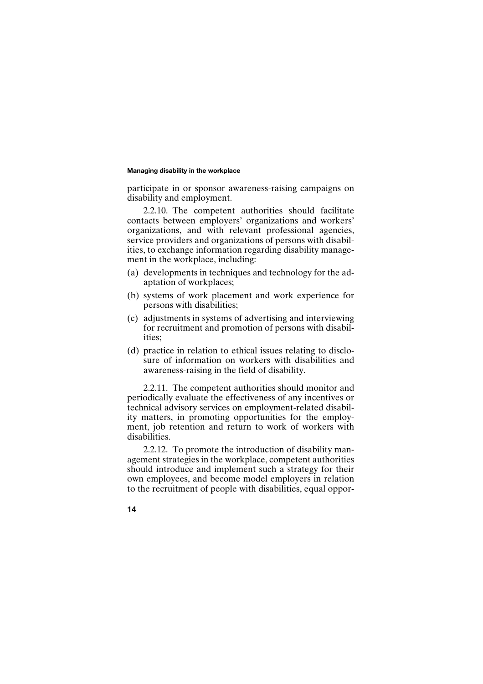participate in or sponsor awareness-raising campaigns on disability and employment.

2.2.10. The competent authorities should facilitate contacts between employers' organizations and workers' organizations, and with relevant professional agencies, service providers and organizations of persons with disabilities, to exchange information regarding disability management in the workplace, including:

- (a) developments in techniques and technology for the adaptation of workplaces;
- (b) systems of work placement and work experience for persons with disabilities;
- (c) adjustments in systems of advertising and interviewing for recruitment and promotion of persons with disabilities;
- (d) practice in relation to ethical issues relating to disclosure of information on workers with disabilities and awareness-raising in the field of disability.

2.2.11. The competent authorities should monitor and periodically evaluate the effectiveness of any incentives or technical advisory services on employment-related disability matters, in promoting opportunities for the employment, job retention and return to work of workers with disabilities.

2.2.12. To promote the introduction of disability management strategies in the workplace, competent authorities should introduce and implement such a strategy for their own employees, and become model employers in relation to the recruitment of people with disabilities, equal oppor-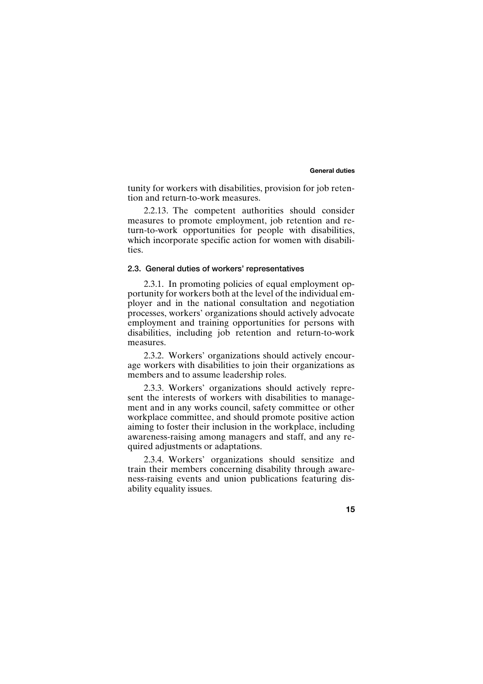### **General duties**

tunity for workers with disabilities, provision for job retention and return-to-work measures.

2.2.13. The competent authorities should consider measures to promote employment, job retention and return-to-work opportunities for people with disabilities, which incorporate specific action for women with disabilities.

### **2.3. General duties of workers' representatives**

2.3.1. In promoting policies of equal employment opportunity for workers both at the level of the individual employer and in the national consultation and negotiation processes, workers' organizations should actively advocate employment and training opportunities for persons with disabilities, including job retention and return-to-work measures.

2.3.2. Workers' organizations should actively encourage workers with disabilities to join their organizations as members and to assume leadership roles.

2.3.3. Workers' organizations should actively represent the interests of workers with disabilities to management and in any works council, safety committee or other workplace committee, and should promote positive action aiming to foster their inclusion in the workplace, including awareness-raising among managers and staff, and any required adjustments or adaptations.

2.3.4. Workers' organizations should sensitize and train their members concerning disability through awareness-raising events and union publications featuring disability equality issues.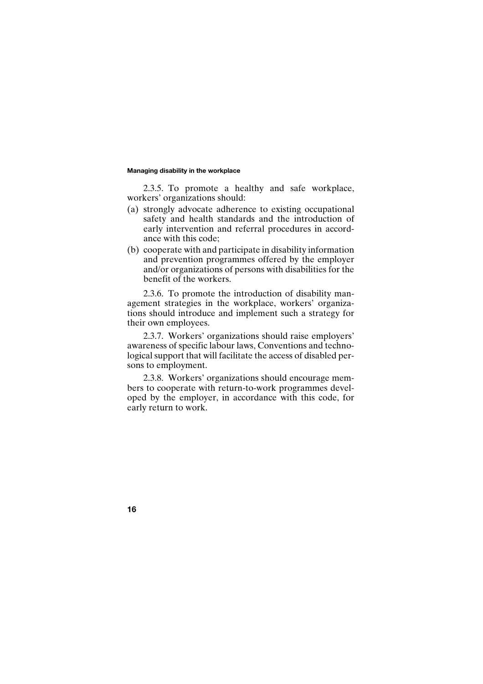2.3.5. To promote a healthy and safe workplace, workers' organizations should:

- (a) strongly advocate adherence to existing occupational safety and health standards and the introduction of early intervention and referral procedures in accordance with this code;
- (b) cooperate with and participate in disability information and prevention programmes offered by the employer and/or organizations of persons with disabilities for the benefit of the workers.

2.3.6. To promote the introduction of disability management strategies in the workplace, workers' organizations should introduce and implement such a strategy for their own employees.

2.3.7. Workers' organizations should raise employers' awareness of specific labour laws, Conventions and technological support that will facilitate the access of disabled persons to employment.

2.3.8. Workers' organizations should encourage members to cooperate with return-to-work programmes developed by the employer, in accordance with this code, for early return to work.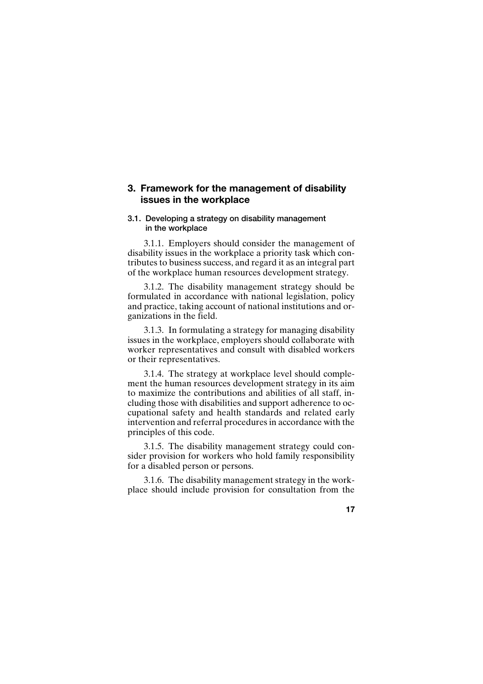# **3. Framework for the management of disability issues in the workplace**

# **3.1. Developing a strategy on disability management in the workplace**

3.1.1. Employers should consider the management of disability issues in the workplace a priority task which contributes to business success, and regard it as an integral part of the workplace human resources development strategy.

3.1.2. The disability management strategy should be formulated in accordance with national legislation, policy and practice, taking account of national institutions and organizations in the field.

3.1.3. In formulating a strategy for managing disability issues in the workplace, employers should collaborate with worker representatives and consult with disabled workers or their representatives.

3.1.4. The strategy at workplace level should complement the human resources development strategy in its aim to maximize the contributions and abilities of all staff, including those with disabilities and support adherence to occupational safety and health standards and related early intervention and referral procedures in accordance with the principles of this code.

3.1.5. The disability management strategy could consider provision for workers who hold family responsibility for a disabled person or persons.

3.1.6. The disability management strategy in the workplace should include provision for consultation from the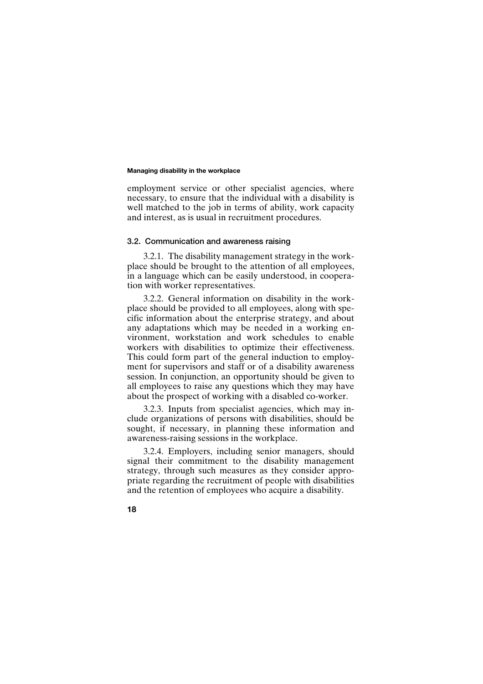employment service or other specialist agencies, where necessary, to ensure that the individual with a disability is well matched to the job in terms of ability, work capacity and interest, as is usual in recruitment procedures.

### **3.2. Communication and awareness raising**

3.2.1. The disability management strategy in the workplace should be brought to the attention of all employees, in a language which can be easily understood, in cooperation with worker representatives.

3.2.2. General information on disability in the workplace should be provided to all employees, along with specific information about the enterprise strategy, and about any adaptations which may be needed in a working environment, workstation and work schedules to enable workers with disabilities to optimize their effectiveness. This could form part of the general induction to employment for supervisors and staff or of a disability awareness session. In conjunction, an opportunity should be given to all employees to raise any questions which they may have about the prospect of working with a disabled co-worker.

3.2.3. Inputs from specialist agencies, which may include organizations of persons with disabilities, should be sought, if necessary, in planning these information and awareness-raising sessions in the workplace.

3.2.4. Employers, including senior managers, should signal their commitment to the disability management strategy, through such measures as they consider appropriate regarding the recruitment of people with disabilities and the retention of employees who acquire a disability.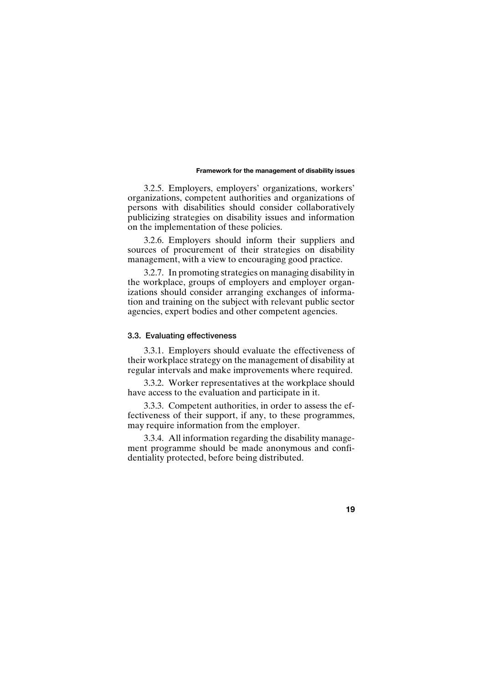### **Framework for the management of disability issues**

3.2.5. Employers, employers' organizations, workers' organizations, competent authorities and organizations of persons with disabilities should consider collaboratively publicizing strategies on disability issues and information on the implementation of these policies.

3.2.6. Employers should inform their suppliers and sources of procurement of their strategies on disability management, with a view to encouraging good practice.

3.2.7. In promoting strategies on managing disability in the workplace, groups of employers and employer organizations should consider arranging exchanges of information and training on the subject with relevant public sector agencies, expert bodies and other competent agencies.

# **3.3. Evaluating effectiveness**

3.3.1. Employers should evaluate the effectiveness of their workplace strategy on the management of disability at regular intervals and make improvements where required.

3.3.2. Worker representatives at the workplace should have access to the evaluation and participate in it.

3.3.3. Competent authorities, in order to assess the effectiveness of their support, if any, to these programmes, may require information from the employer.

3.3.4. All information regarding the disability management programme should be made anonymous and confidentiality protected, before being distributed.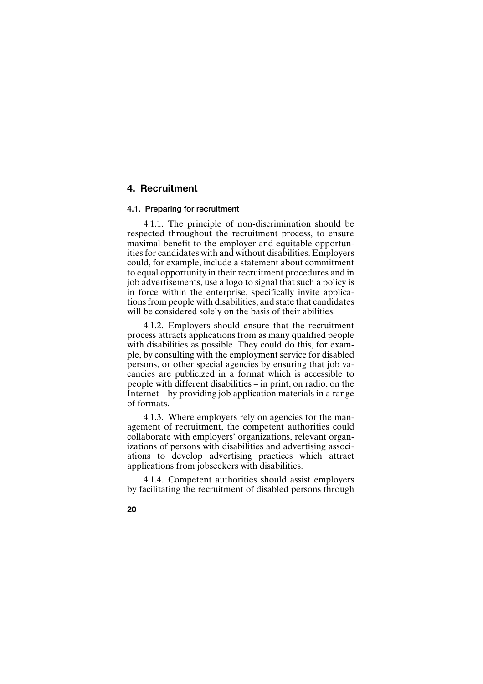# **4. Recruitment**

# **4.1. Preparing for recruitment**

4.1.1. The principle of non-discrimination should be respected throughout the recruitment process, to ensure maximal benefit to the employer and equitable opportunities for candidates with and without disabilities. Employers could, for example, include a statement about commitment to equal opportunity in their recruitment procedures and in job advertisements, use a logo to signal that such a policy is in force within the enterprise, specifically invite applications from people with disabilities, and state that candidates will be considered solely on the basis of their abilities.

4.1.2. Employers should ensure that the recruitment process attracts applications from as many qualified people with disabilities as possible. They could do this, for example, by consulting with the employment service for disabled persons, or other special agencies by ensuring that job vacancies are publicized in a format which is accessible to people with different disabilities – in print, on radio, on the Internet – by providing job application materials in a range of formats.

4.1.3. Where employers rely on agencies for the management of recruitment, the competent authorities could collaborate with employers' organizations, relevant organizations of persons with disabilities and advertising associations to develop advertising practices which attract applications from jobseekers with disabilities.

4.1.4. Competent authorities should assist employers by facilitating the recruitment of disabled persons through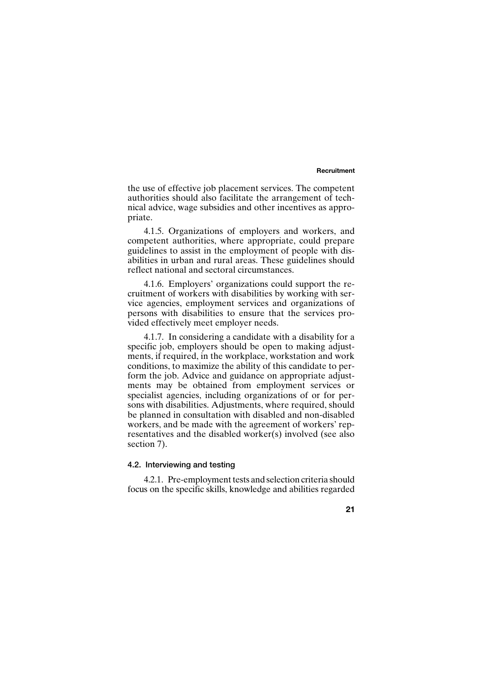### **Recruitment**

the use of effective job placement services. The competent authorities should also facilitate the arrangement of technical advice, wage subsidies and other incentives as appropriate.

4.1.5. Organizations of employers and workers, and competent authorities, where appropriate, could prepare guidelines to assist in the employment of people with disabilities in urban and rural areas. These guidelines should reflect national and sectoral circumstances.

4.1.6. Employers' organizations could support the recruitment of workers with disabilities by working with service agencies, employment services and organizations of persons with disabilities to ensure that the services provided effectively meet employer needs.

4.1.7. In considering a candidate with a disability for a specific job, employers should be open to making adjustments, if required, in the workplace, workstation and work conditions, to maximize the ability of this candidate to perform the job. Advice and guidance on appropriate adjustments may be obtained from employment services or specialist agencies, including organizations of or for persons with disabilities. Adjustments, where required, should be planned in consultation with disabled and non-disabled workers, and be made with the agreement of workers' representatives and the disabled worker(s) involved (see also section 7).

# **4.2. Interviewing and testing**

4.2.1. Pre-employment tests and selection criteria should focus on the specific skills, knowledge and abilities regarded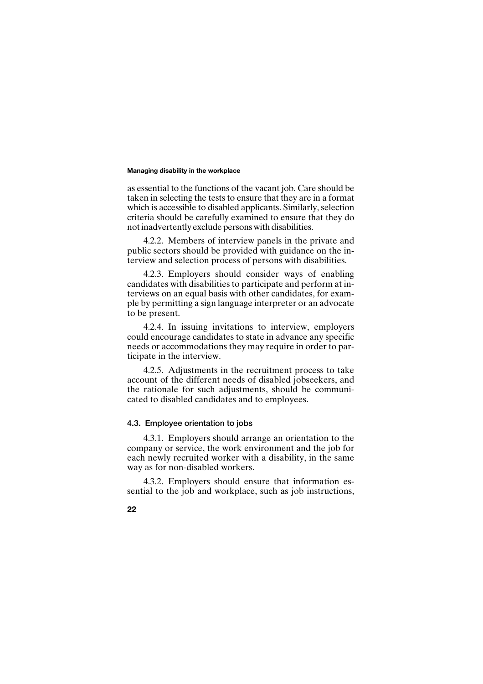as essential to the functions of the vacant job. Care should be taken in selecting the tests to ensure that they are in a format which is accessible to disabled applicants. Similarly, selection criteria should be carefully examined to ensure that they do not inadvertently exclude persons with disabilities.

4.2.2. Members of interview panels in the private and public sectors should be provided with guidance on the interview and selection process of persons with disabilities.

4.2.3. Employers should consider ways of enabling candidates with disabilities to participate and perform at interviews on an equal basis with other candidates, for example by permitting a sign language interpreter or an advocate to be present.

4.2.4. In issuing invitations to interview, employers could encourage candidates to state in advance any specific needs or accommodations they may require in order to participate in the interview.

4.2.5. Adjustments in the recruitment process to take account of the different needs of disabled jobseekers, and the rationale for such adjustments, should be communicated to disabled candidates and to employees.

# **4.3. Employee orientation to jobs**

4.3.1. Employers should arrange an orientation to the company or service, the work environment and the job for each newly recruited worker with a disability, in the same way as for non-disabled workers.

4.3.2. Employers should ensure that information essential to the job and workplace, such as job instructions,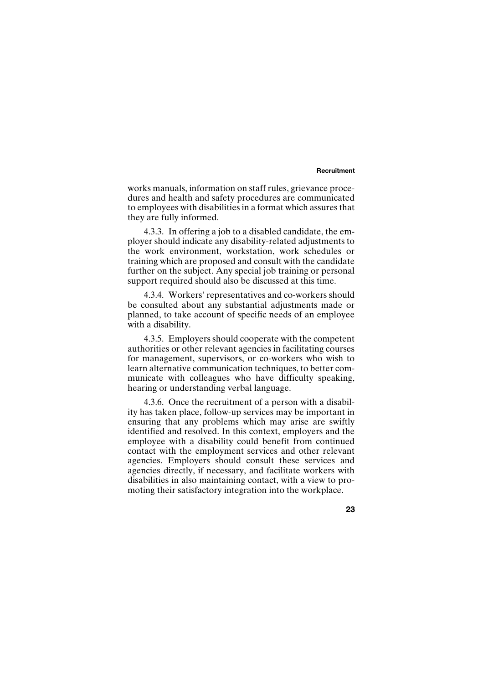### **Recruitment**

works manuals, information on staff rules, grievance procedures and health and safety procedures are communicated to employees with disabilities in a format which assures that they are fully informed.

4.3.3. In offering a job to a disabled candidate, the employer should indicate any disability-related adjustments to the work environment, workstation, work schedules or training which are proposed and consult with the candidate further on the subject. Any special job training or personal support required should also be discussed at this time.

4.3.4. Workers' representatives and co-workers should be consulted about any substantial adjustments made or planned, to take account of specific needs of an employee with a disability.

4.3.5. Employers should cooperate with the competent authorities or other relevant agencies in facilitating courses for management, supervisors, or co-workers who wish to learn alternative communication techniques, to better communicate with colleagues who have difficulty speaking, hearing or understanding verbal language.

4.3.6. Once the recruitment of a person with a disability has taken place, follow-up services may be important in ensuring that any problems which may arise are swiftly identified and resolved. In this context, employers and the employee with a disability could benefit from continued contact with the employment services and other relevant agencies. Employers should consult these services and agencies directly, if necessary, and facilitate workers with disabilities in also maintaining contact, with a view to promoting their satisfactory integration into the workplace.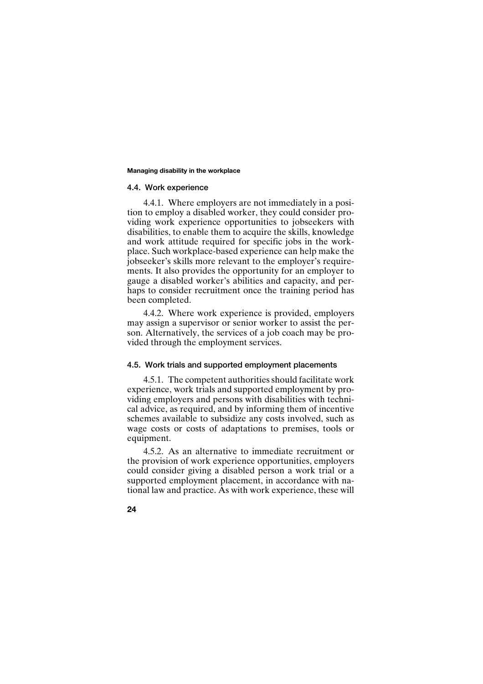### **4.4. Work experience**

4.4.1. Where employers are not immediately in a position to employ a disabled worker, they could consider providing work experience opportunities to jobseekers with disabilities, to enable them to acquire the skills, knowledge and work attitude required for specific jobs in the workplace. Such workplace-based experience can help make the jobseeker's skills more relevant to the employer's requirements. It also provides the opportunity for an employer to gauge a disabled worker's abilities and capacity, and perhaps to consider recruitment once the training period has been completed.

4.4.2. Where work experience is provided, employers may assign a supervisor or senior worker to assist the person. Alternatively, the services of a job coach may be provided through the employment services.

# **4.5. Work trials and supported employment placements**

4.5.1. The competent authorities should facilitate work experience, work trials and supported employment by providing employers and persons with disabilities with technical advice, as required, and by informing them of incentive schemes available to subsidize any costs involved, such as wage costs or costs of adaptations to premises, tools or equipment.

4.5.2. As an alternative to immediate recruitment or the provision of work experience opportunities, employers could consider giving a disabled person a work trial or a supported employment placement, in accordance with national law and practice. As with work experience, these will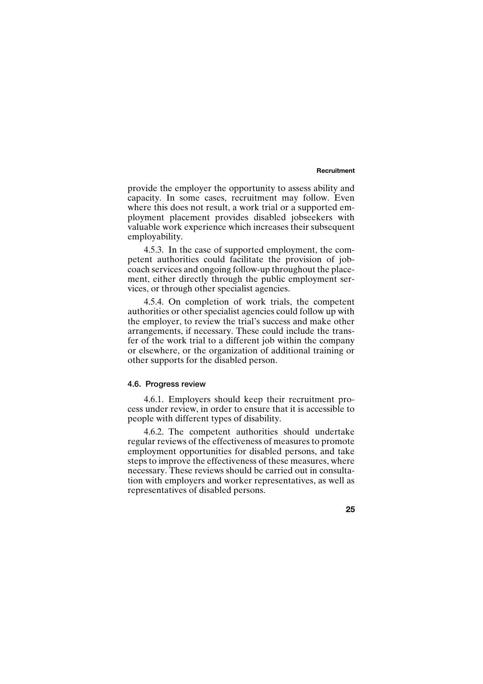### **Recruitment**

provide the employer the opportunity to assess ability and capacity. In some cases, recruitment may follow. Even where this does not result, a work trial or a supported employment placement provides disabled jobseekers with valuable work experience which increases their subsequent employability.

4.5.3. In the case of supported employment, the competent authorities could facilitate the provision of jobcoach services and ongoing follow-up throughout the placement, either directly through the public employment services, or through other specialist agencies.

4.5.4. On completion of work trials, the competent authorities or other specialist agencies could follow up with the employer, to review the trial's success and make other arrangements, if necessary. These could include the transfer of the work trial to a different job within the company or elsewhere, or the organization of additional training or other supports for the disabled person.

### **4.6. Progress review**

4.6.1. Employers should keep their recruitment process under review, in order to ensure that it is accessible to people with different types of disability.

4.6.2. The competent authorities should undertake regular reviews of the effectiveness of measures to promote employment opportunities for disabled persons, and take steps to improve the effectiveness of these measures, where necessary. These reviews should be carried out in consultation with employers and worker representatives, as well as representatives of disabled persons.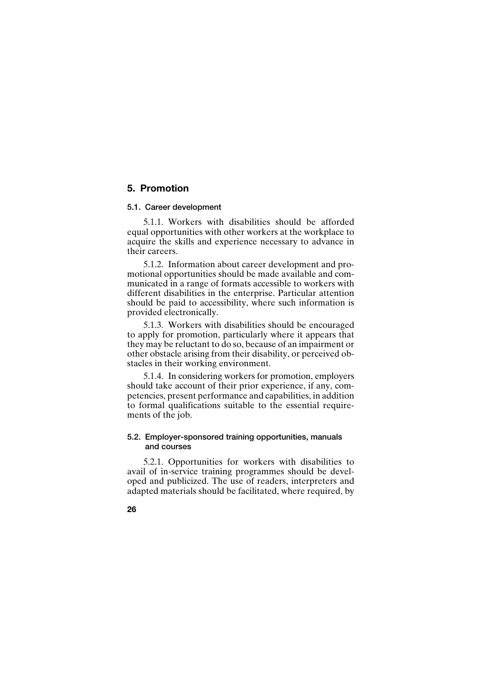# **5. Promotion**

### **5.1. Career development**

5.1.1. Workers with disabilities should be afforded equal opportunities with other workers at the workplace to acquire the skills and experience necessary to advance in their careers.

5.1.2. Information about career development and promotional opportunities should be made available and communicated in a range of formats accessible to workers with different disabilities in the enterprise. Particular attention should be paid to accessibility, where such information is provided electronically.

5.1.3. Workers with disabilities should be encouraged to apply for promotion, particularly where it appears that they may be reluctant to do so, because of an impairment or other obstacle arising from their disability, or perceived obstacles in their working environment.

5.1.4. In considering workers for promotion, employers should take account of their prior experience, if any, competencies, present performance and capabilities, in addition to formal qualifications suitable to the essential requirements of the job.

# **5.2. Employer-sponsored training opportunities, manuals and courses**

5.2.1. Opportunities for workers with disabilities to avail of in-service training programmes should be developed and publicized. The use of readers, interpreters and adapted materials should be facilitated, where required, by

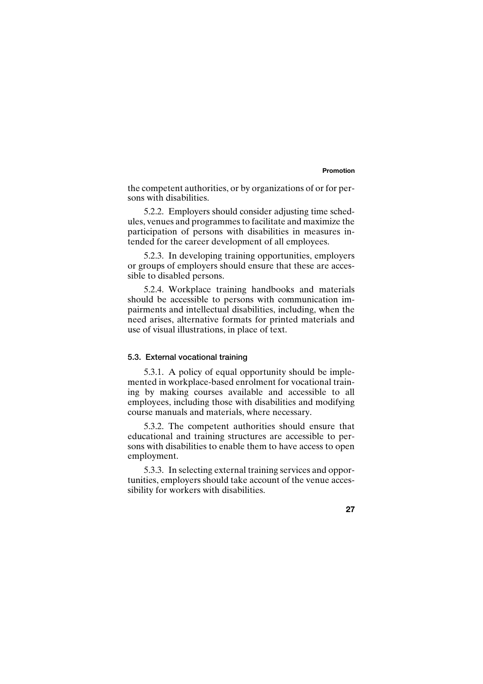### **Promotion**

the competent authorities, or by organizations of or for persons with disabilities.

5.2.2. Employers should consider adjusting time schedules, venues and programmes to facilitate and maximize the participation of persons with disabilities in measures intended for the career development of all employees.

5.2.3. In developing training opportunities, employers or groups of employers should ensure that these are accessible to disabled persons.

5.2.4. Workplace training handbooks and materials should be accessible to persons with communication impairments and intellectual disabilities, including, when the need arises, alternative formats for printed materials and use of visual illustrations, in place of text.

## **5.3. External vocational training**

5.3.1. A policy of equal opportunity should be implemented in workplace-based enrolment for vocational training by making courses available and accessible to all employees, including those with disabilities and modifying course manuals and materials, where necessary.

5.3.2. The competent authorities should ensure that educational and training structures are accessible to persons with disabilities to enable them to have access to open employment.

5.3.3. In selecting external training services and opportunities, employers should take account of the venue accessibility for workers with disabilities.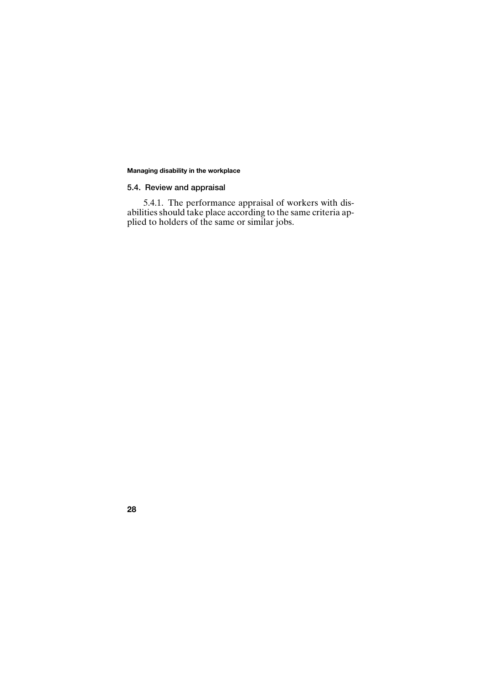# **5.4. Review and appraisal**

5.4.1. The performance appraisal of workers with disabilities should take place according to the same criteria applied to holders of the same or similar jobs.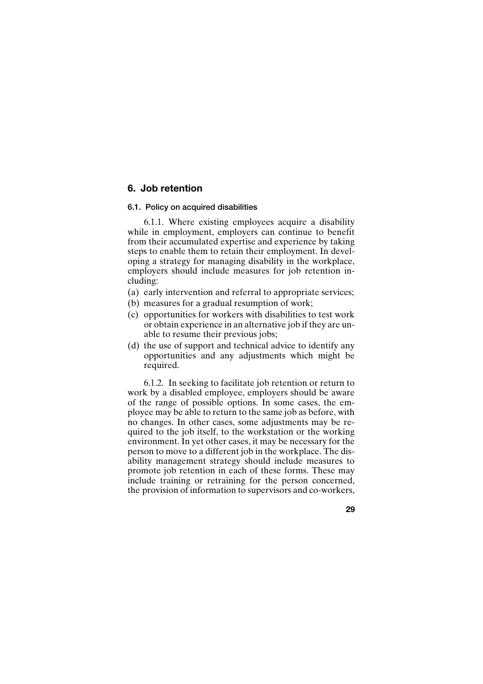# **6. Job retention**

## **6.1. Policy on acquired disabilities**

6.1.1. Where existing employees acquire a disability while in employment, employers can continue to benefit from their accumulated expertise and experience by taking steps to enable them to retain their employment. In developing a strategy for managing disability in the workplace, employers should include measures for job retention including:

- (a) early intervention and referral to appropriate services;
- (b) measures for a gradual resumption of work;
- (c) opportunities for workers with disabilities to test work or obtain experience in an alternative job if they are unable to resume their previous jobs;
- (d) the use of support and technical advice to identify any opportunities and any adjustments which might be required.

6.1.2. In seeking to facilitate job retention or return to work by a disabled employee, employers should be aware of the range of possible options. In some cases, the employee may be able to return to the same job as before, with no changes. In other cases, some adjustments may be required to the job itself, to the workstation or the working environment. In yet other cases, it may be necessary for the person to move to a different job in the workplace. The disability management strategy should include measures to promote job retention in each of these forms. These may include training or retraining for the person concerned, the provision of information to supervisors and co-workers,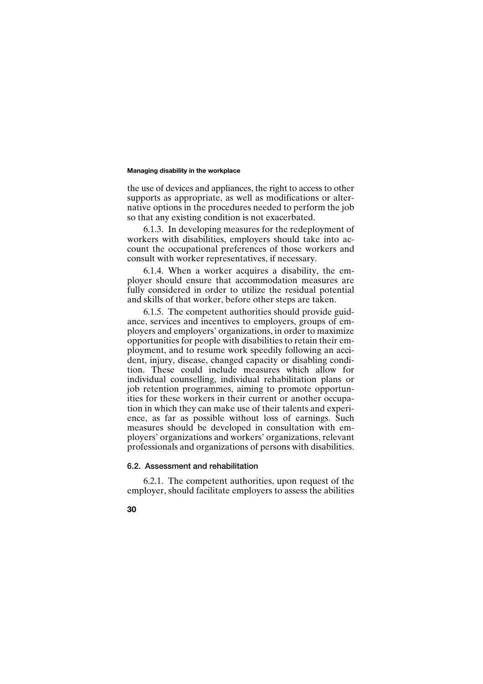the use of devices and appliances, the right to access to other supports as appropriate, as well as modifications or alternative options in the procedures needed to perform the job so that any existing condition is not exacerbated.

6.1.3. In developing measures for the redeployment of workers with disabilities, employers should take into account the occupational preferences of those workers and consult with worker representatives, if necessary.

6.1.4. When a worker acquires a disability, the employer should ensure that accommodation measures are fully considered in order to utilize the residual potential and skills of that worker, before other steps are taken.

6.1.5. The competent authorities should provide guidance, services and incentives to employers, groups of employers and employers' organizations, in order to maximize opportunities for people with disabilities to retain their employment, and to resume work speedily following an accident, injury, disease, changed capacity or disabling condition. These could include measures which allow for individual counselling, individual rehabilitation plans or job retention programmes, aiming to promote opportunities for these workers in their current or another occupation in which they can make use of their talents and experience, as far as possible without loss of earnings. Such measures should be developed in consultation with employers' organizations and workers' organizations, relevant professionals and organizations of persons with disabilities.

# **6.2. Assessment and rehabilitation**

6.2.1. The competent authorities, upon request of the employer, should facilitate employers to assess the abilities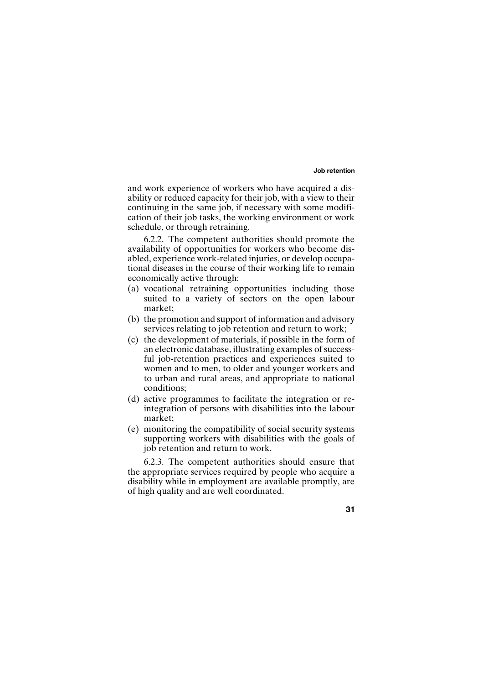### **Job retention**

and work experience of workers who have acquired a disability or reduced capacity for their job, with a view to their continuing in the same job, if necessary with some modification of their job tasks, the working environment or work schedule, or through retraining.

6.2.2. The competent authorities should promote the availability of opportunities for workers who become disabled, experience work-related injuries, or develop occupational diseases in the course of their working life to remain economically active through:

- (a) vocational retraining opportunities including those suited to a variety of sectors on the open labour market;
- (b) the promotion and support of information and advisory services relating to job retention and return to work;
- (c) the development of materials, if possible in the form of an electronic database, illustrating examples of successful job-retention practices and experiences suited to women and to men, to older and younger workers and to urban and rural areas, and appropriate to national conditions;
- (d) active programmes to facilitate the integration or reintegration of persons with disabilities into the labour market;
- (e) monitoring the compatibility of social security systems supporting workers with disabilities with the goals of job retention and return to work.

6.2.3. The competent authorities should ensure that the appropriate services required by people who acquire a disability while in employment are available promptly, are of high quality and are well coordinated.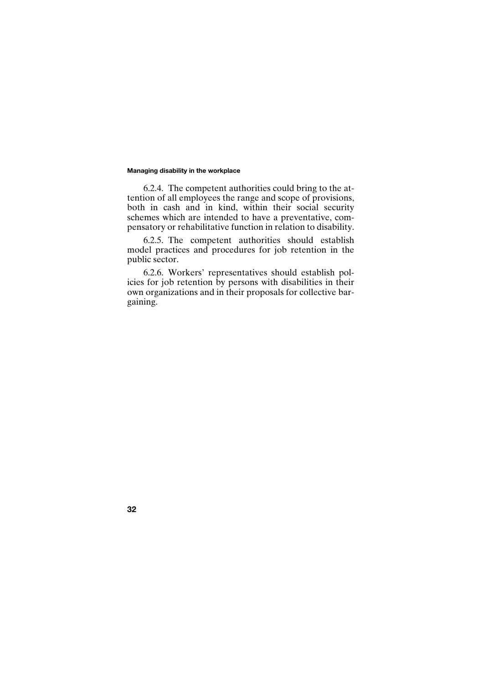6.2.4. The competent authorities could bring to the attention of all employees the range and scope of provisions, both in cash and in kind, within their social security schemes which are intended to have a preventative, compensatory or rehabilitative function in relation to disability.

6.2.5. The competent authorities should establish model practices and procedures for job retention in the public sector.

6.2.6. Workers' representatives should establish policies for job retention by persons with disabilities in their own organizations and in their proposals for collective bargaining.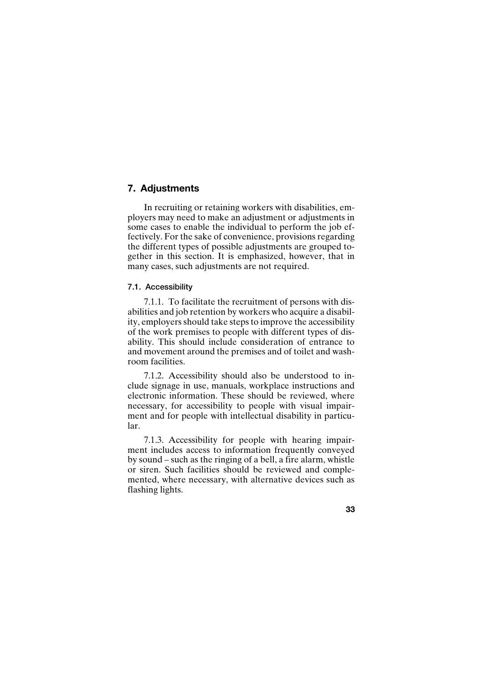# **7. Adjustments**

In recruiting or retaining workers with disabilities, employers may need to make an adjustment or adjustments in some cases to enable the individual to perform the job effectively. For the sake of convenience, provisions regarding the different types of possible adjustments are grouped together in this section. It is emphasized, however, that in many cases, such adjustments are not required.

# **7.1. Accessibility**

7.1.1. To facilitate the recruitment of persons with disabilities and job retention by workers who acquire a disability, employers should take steps to improve the accessibility of the work premises to people with different types of disability. This should include consideration of entrance to and movement around the premises and of toilet and washroom facilities.

7.1.2. Accessibility should also be understood to include signage in use, manuals, workplace instructions and electronic information. These should be reviewed, where necessary, for accessibility to people with visual impairment and for people with intellectual disability in particular.

7.1.3. Accessibility for people with hearing impairment includes access to information frequently conveyed by sound – such as the ringing of a bell, a fire alarm, whistle or siren. Such facilities should be reviewed and complemented, where necessary, with alternative devices such as flashing lights.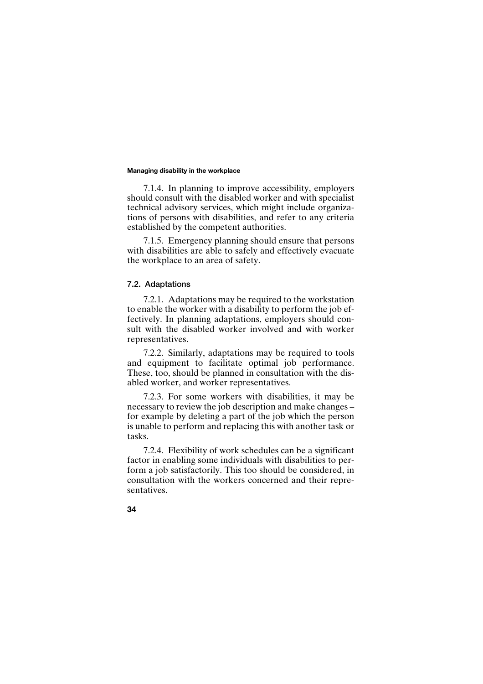7.1.4. In planning to improve accessibility, employers should consult with the disabled worker and with specialist technical advisory services, which might include organizations of persons with disabilities, and refer to any criteria established by the competent authorities.

7.1.5. Emergency planning should ensure that persons with disabilities are able to safely and effectively evacuate the workplace to an area of safety.

### **7.2. Adaptations**

7.2.1. Adaptations may be required to the workstation to enable the worker with a disability to perform the job effectively. In planning adaptations, employers should consult with the disabled worker involved and with worker representatives.

7.2.2. Similarly, adaptations may be required to tools and equipment to facilitate optimal job performance. These, too, should be planned in consultation with the disabled worker, and worker representatives.

7.2.3. For some workers with disabilities, it may be necessary to review the job description and make changes – for example by deleting a part of the job which the person is unable to perform and replacing this with another task or tasks.

7.2.4. Flexibility of work schedules can be a significant factor in enabling some individuals with disabilities to perform a job satisfactorily. This too should be considered, in consultation with the workers concerned and their representatives.

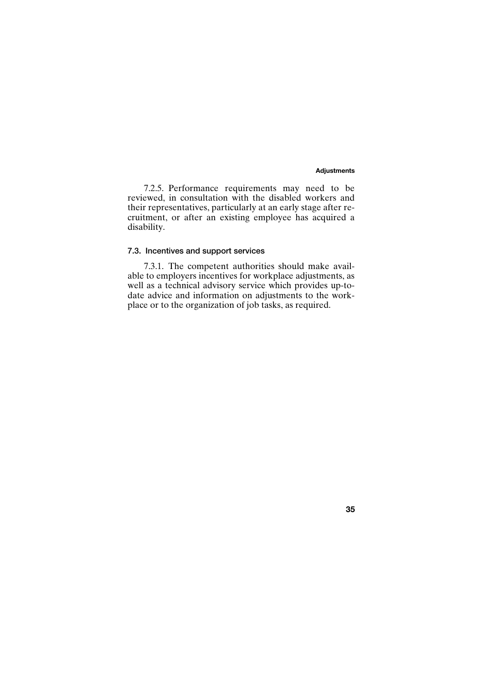### **Adjustments**

**35**

7.2.5. Performance requirements may need to be reviewed, in consultation with the disabled workers and their representatives, particularly at an early stage after recruitment, or after an existing employee has acquired a disability.

# **7.3. Incentives and support services**

7.3.1. The competent authorities should make available to employers incentives for workplace adjustments, as well as a technical advisory service which provides up-todate advice and information on adjustments to the workplace or to the organization of job tasks, as required.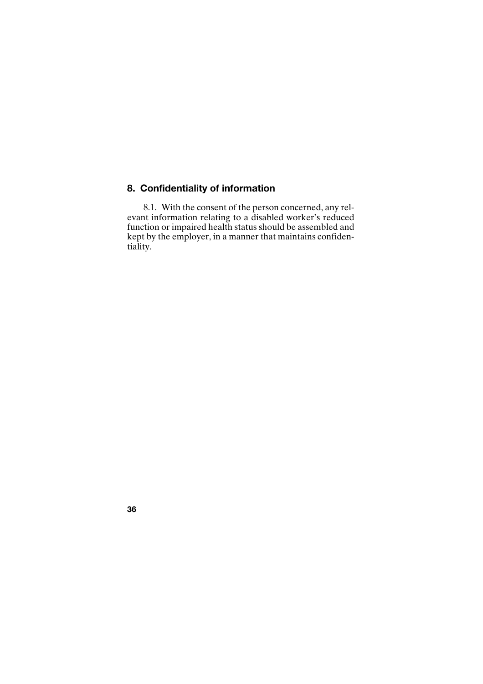# **8. Confidentiality of information**

8.1. With the consent of the person concerned, any relevant information relating to a disabled worker's reduced function or impaired health status should be assembled and kept by the employer, in a manner that maintains confidentiality.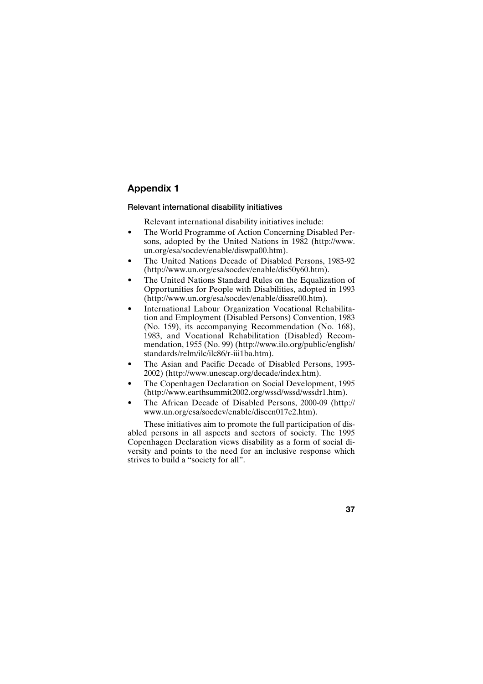### **Relevant international disability initiatives**

Relevant international disability initiatives include:

- The World Programme of Action Concerning Disabled Persons, adopted by the United Nations in 1982 (http://www. un.org/esa/socdev/enable/diswpa00.htm).
- The United Nations Decade of Disabled Persons, 1983-92 (http://www.un.org/esa/socdev/enable/dis50y60.htm).
- The United Nations Standard Rules on the Equalization of Opportunities for People with Disabilities, adopted in 1993 (http://www.un.org/esa/socdev/enable/dissre00.htm).
- International Labour Organization Vocational Rehabilitation and Employment (Disabled Persons) Convention, 1983 (No. 159), its accompanying Recommendation (No. 168), 1983, and Vocational Rehabilitation (Disabled) Recommendation, 1955 (No. 99) (http://www.ilo.org/public/english/ standards/relm/ilc/ilc86/r-iii1ba.htm).
- The Asian and Pacific Decade of Disabled Persons, 1993- 2002) (http://www.unescap.org/decade/index.htm).
- The Copenhagen Declaration on Social Development, 1995 (http://www.earthsummit2002.org/wssd/wssd/wssdr1.htm).
- The African Decade of Disabled Persons, 2000-09 (http:// www.un.org/esa/socdev/enable/disecn017e2.htm).

These initiatives aim to promote the full participation of disabled persons in all aspects and sectors of society. The 1995 Copenhagen Declaration views disability as a form of social diversity and points to the need for an inclusive response which strives to build a "society for all".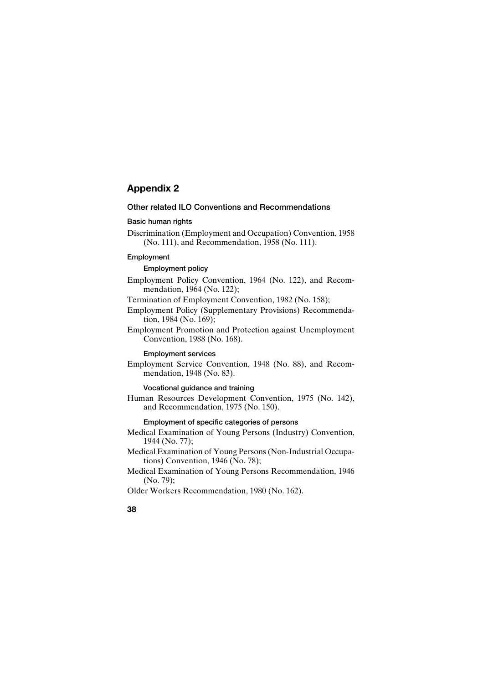# **Other related ILO Conventions and Recommendations**

### **Basic human rights**

Discrimination (Employment and Occupation) Convention, 1958 (No. 111), and Recommendation, 1958 (No. 111).

## **Employment**

**Employment policy**

Employment Policy Convention, 1964 (No. 122), and Recommendation, 1964 (No. 122);

Termination of Employment Convention, 1982 (No. 158);

- Employment Policy (Supplementary Provisions) Recommendation, 1984 (No. 169);
- Employment Promotion and Protection against Unemployment Convention, 1988 (No. 168).

**Employment services**

Employment Service Convention, 1948 (No. 88), and Recommendation, 1948 (No. 83).

# **Vocational guidance and training**

Human Resources Development Convention, 1975 (No. 142), and Recommendation, 1975 (No. 150).

# **Employment of specific categories of persons**

- Medical Examination of Young Persons (Industry) Convention, 1944 (No. 77);
- Medical Examination of Young Persons (Non-Industrial Occupations) Convention, 1946 (No. 78);
- Medical Examination of Young Persons Recommendation, 1946 (No. 79);
- Older Workers Recommendation, 1980 (No. 162).
- **38**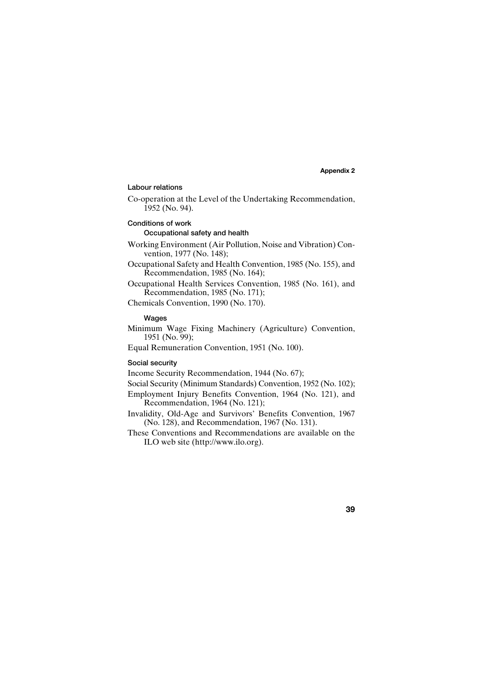### **Labour relations**

Co-operation at the Level of the Undertaking Recommendation, 1952 (No. 94).

### **Conditions of work**

### **Occupational safety and health**

Working Environment (Air Pollution, Noise and Vibration) Convention, 1977 (No. 148);

Occupational Safety and Health Convention, 1985 (No. 155), and Recommendation, 1985 (No. 164);

Occupational Health Services Convention, 1985 (No. 161), and Recommendation, 1985 (No. 171);

Chemicals Convention, 1990 (No. 170).

# **Wages**

Minimum Wage Fixing Machinery (Agriculture) Convention, 1951 (No. 99);

Equal Remuneration Convention, 1951 (No. 100).

### **Social security**

Income Security Recommendation, 1944 (No. 67);

Social Security (Minimum Standards) Convention, 1952 (No. 102);

Employment Injury Benefits Convention, 1964 (No. 121), and Recommendation, 1964 (No. 121);

- Invalidity, Old-Age and Survivors' Benefits Convention, 1967 (No. 128), and Recommendation, 1967 (No. 131).
- These Conventions and Recommendations are available on the ILO web site (http://www.ilo.org).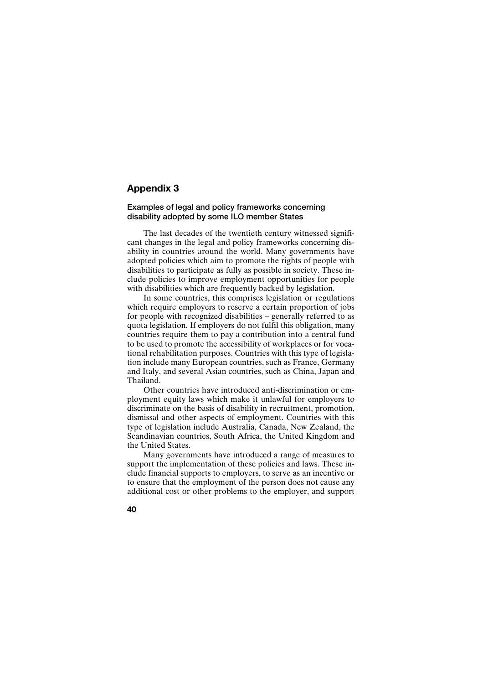# **Examples of legal and policy frameworks concerning disability adopted by some ILO member States**

The last decades of the twentieth century witnessed significant changes in the legal and policy frameworks concerning disability in countries around the world. Many governments have adopted policies which aim to promote the rights of people with disabilities to participate as fully as possible in society. These include policies to improve employment opportunities for people with disabilities which are frequently backed by legislation.

In some countries, this comprises legislation or regulations which require employers to reserve a certain proportion of jobs for people with recognized disabilities – generally referred to as quota legislation. If employers do not fulfil this obligation, many countries require them to pay a contribution into a central fund to be used to promote the accessibility of workplaces or for vocational rehabilitation purposes. Countries with this type of legislation include many European countries, such as France, Germany and Italy, and several Asian countries, such as China, Japan and Thailand.

Other countries have introduced anti-discrimination or employment equity laws which make it unlawful for employers to discriminate on the basis of disability in recruitment, promotion, dismissal and other aspects of employment. Countries with this type of legislation include Australia, Canada, New Zealand, the Scandinavian countries, South Africa, the United Kingdom and the United States.

Many governments have introduced a range of measures to support the implementation of these policies and laws. These include financial supports to employers, to serve as an incentive or to ensure that the employment of the person does not cause any additional cost or other problems to the employer, and support

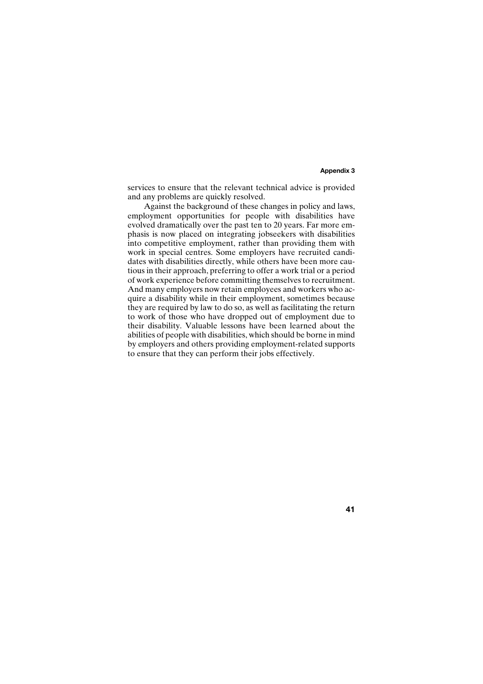services to ensure that the relevant technical advice is provided and any problems are quickly resolved.

Against the background of these changes in policy and laws, employment opportunities for people with disabilities have evolved dramatically over the past ten to 20 years. Far more emphasis is now placed on integrating jobseekers with disabilities into competitive employment, rather than providing them with work in special centres. Some employers have recruited candidates with disabilities directly, while others have been more cautious in their approach, preferring to offer a work trial or a period of work experience before committing themselves to recruitment. And many employers now retain employees and workers who acquire a disability while in their employment, sometimes because they are required by law to do so, as well as facilitating the return to work of those who have dropped out of employment due to their disability. Valuable lessons have been learned about the abilities of people with disabilities, which should be borne in mind by employers and others providing employment-related supports to ensure that they can perform their jobs effectively.